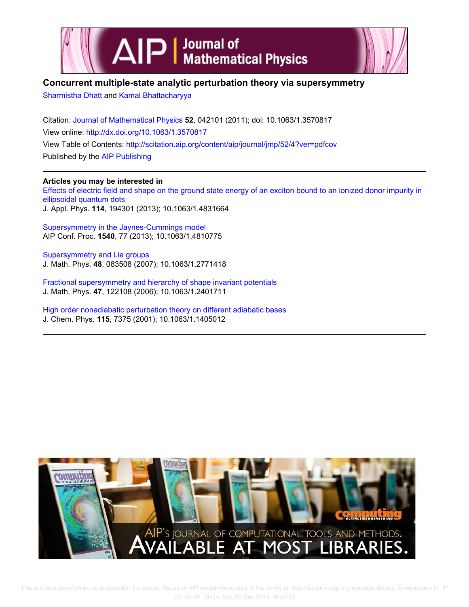



## **Concurrent multiple-state analytic perturbation theory via supersymmetry**

Sharmistha Dhatt and Kamal Bhattacharyya

Citation: Journal of Mathematical Physics **52**, 042101 (2011); doi: 10.1063/1.3570817 View online: http://dx.doi.org/10.1063/1.3570817 View Table of Contents: http://scitation.aip.org/content/aip/journal/jmp/52/4?ver=pdfcov Published by the AIP Publishing

## **Articles you may be interested in**

Effects of electric field and shape on the ground state energy of an exciton bound to an ionized donor impurity in ellipsoidal quantum dots J. Appl. Phys. **114**, 194301 (2013); 10.1063/1.4831664

Supersymmetry in the Jaynes-Cummings model AIP Conf. Proc. **1540**, 77 (2013); 10.1063/1.4810775

Supersymmetry and Lie groups J. Math. Phys. **48**, 083508 (2007); 10.1063/1.2771418

Fractional supersymmetry and hierarchy of shape invariant potentials J. Math. Phys. **47**, 122108 (2006); 10.1063/1.2401711

High order nonadiabatic perturbation theory on different adiabatic bases J. Chem. Phys. **115**, 7375 (2001); 10.1063/1.1405012

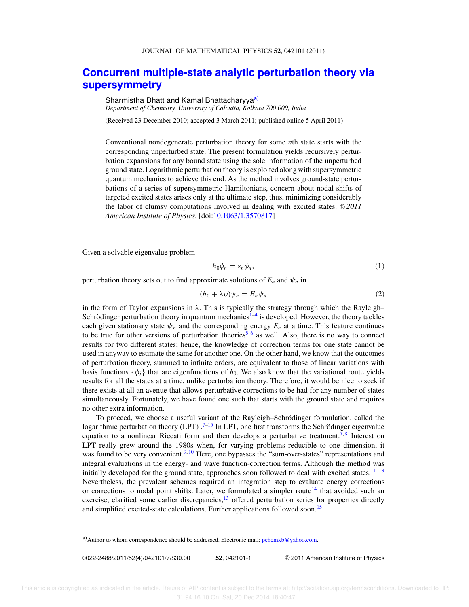## **Concurrent multiple-state analytic perturbation theory via supersymmetry**

Sharmistha Dhatt and Kamal Bhattacharyya<sup>a)</sup> *Department of Chemistry, University of Calcutta, Kolkata 700 009, India*

(Received 23 December 2010; accepted 3 March 2011; published online 5 April 2011)

Conventional nondegenerate perturbation theory for some *n*th state starts with the corresponding unperturbed state. The present formulation yields recursively perturbation expansions for any bound state using the sole information of the unperturbed ground state. Logarithmic perturbation theory is exploited along with supersymmetric quantum mechanics to achieve this end. As the method involves ground-state perturbations of a series of supersymmetric Hamiltonians, concern about nodal shifts of targeted excited states arises only at the ultimate step, thus, minimizing considerably the labor of clumsy computations involved in dealing with excited states.  $© 2011$ *American Institute of Physics*. [doi:10.1063/1.3570817]

Given a solvable eigenvalue problem

$$
h_0 \phi_n = \varepsilon_n \phi_n,\tag{1}
$$

perturbation theory sets out to find approximate solutions of  $E_n$  and  $\psi_n$  in

$$
(h_0 + \lambda \upsilon)\psi_n = E_n \psi_n \tag{2}
$$

in the form of Taylor expansions in  $\lambda$ . This is typically the strategy through which the Rayleigh– Schrödinger perturbation theory in quantum mechanics<sup>1-4</sup> is developed. However, the theory tackles each given stationary state  $\psi_n$  and the corresponding energy  $E_n$  at a time. This feature continues to be true for other versions of perturbation theories<sup>5,6</sup> as well. Also, there is no way to connect results for two different states; hence, the knowledge of correction terms for one state cannot be used in anyway to estimate the same for another one. On the other hand, we know that the outcomes of perturbation theory, summed to infinite orders, are equivalent to those of linear variations with basis functions  $\{\phi_i\}$  that are eigenfunctions of  $h_0$ . We also know that the variational route yields results for all the states at a time, unlike perturbation theory. Therefore, it would be nice to seek if there exists at all an avenue that allows perturbative corrections to be had for any number of states simultaneously. Fortunately, we have found one such that starts with the ground state and requires no other extra information.

To proceed, we choose a useful variant of the Rayleigh–Schrödinger formulation, called the logarithmic perturbation theory (LPT)  $^{7-15}$  In LPT, one first transforms the Schrödinger eigenvalue equation to a nonlinear Riccati form and then develops a perturbative treatment.<sup>7,8</sup> Interest on LPT really grew around the 1980s when, for varying problems reducible to one dimension, it was found to be very convenient.<sup>9, 10</sup> Here, one bypasses the "sum-over-states" representations and integral evaluations in the energy- and wave function-correction terms. Although the method was initially developed for the ground state, approaches soon followed to deal with excited states.<sup>11–13</sup> Nevertheless, the prevalent schemes required an integration step to evaluate energy corrections or corrections to nodal point shifts. Later, we formulated a simpler route<sup>14</sup> that avoided such an exercise, clarified some earlier discrepancies,<sup>13</sup> offered perturbation series for properties directly and simplified excited-state calculations. Further applications followed soon.<sup>15</sup>

0022-2488/2011/52(4)/042101/7/\$30.00 **52**, 042101-1 -

<sup>C</sup> 2011 American Institute of Physics

a) Author to whom correspondence should be addressed. Electronic mail: pchemkb@yahoo.com.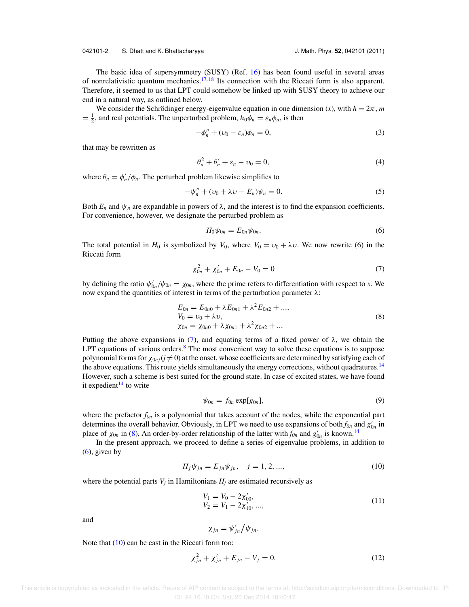The basic idea of supersymmetry (SUSY) (Ref. 16) has been found useful in several areas of nonrelativistic quantum mechanics.<sup>17, 18</sup> Its connection with the Riccati form is also apparent. Therefore, it seemed to us that LPT could somehow be linked up with SUSY theory to achieve our end in a natural way, as outlined below.

We consider the Schrödinger energy-eigenvalue equation in one dimension  $(x)$ , with  $h = 2\pi$ , *m*  $=$   $\frac{1}{2}$ , and real potentials. The unperturbed problem,  $h_0\phi_n = \varepsilon_n\phi_n$ , is then

$$
-\phi_n'' + (\upsilon_0 - \varepsilon_n)\phi_n = 0,\tag{3}
$$

that may be rewritten as

$$
\theta_n^2 + \theta_n' + \varepsilon_n - \nu_0 = 0,\tag{4}
$$

where  $\theta_n = \phi'_n / \phi_n$ . The perturbed problem likewise simplifies to

$$
-\psi_n'' + (\upsilon_0 + \lambda \upsilon - E_n)\psi_n = 0. \tag{5}
$$

Both  $E_n$  and  $\psi_n$  are expandable in powers of  $\lambda$ , and the interest is to find the expansion coefficients. For convenience, however, we designate the perturbed problem as

$$
H_0 \psi_{0n} = E_{0n} \psi_{0n}.
$$
 (6)

The total potential in  $H_0$  is symbolized by  $V_0$ , where  $V_0 = v_0 + \lambda v$ . We now rewrite (6) in the Riccati form

$$
\chi_{0n}^2 + \chi_{0n}' + E_{0n} - V_0 = 0 \tag{7}
$$

by defining the ratio  $\psi'_{0n}/\psi_{0n} = \chi_{0n}$ , where the prime refers to differentiation with respect to *x*. We now expand the quantities of interest in terms of the perturbation parameter  $λ$ :

$$
E_{0n} = E_{0n0} + \lambda E_{0n1} + \lambda^2 E_{0n2} + ..., \nV_0 = \nu_0 + \lambda \nu, \n\chi_{0n} = \chi_{0n0} + \lambda \chi_{0n1} + \lambda^2 \chi_{0n2} + ...
$$
\n(8)

Putting the above expansions in (7), and equating terms of a fixed power of  $\lambda$ , we obtain the LPT equations of various orders. $8$  The most convenient way to solve these equations is to suppose polynomial forms for  $\chi_{0nj}(j \neq 0)$  at the onset, whose coefficients are determined by satisfying each of the above equations. This route yields simultaneously the energy corrections, without quadratures.<sup>14</sup> However, such a scheme is best suited for the ground state. In case of excited states, we have found it expedient<sup>14</sup> to write

$$
\psi_{0n} = f_{0n} \exp[g_{0n}], \qquad (9)
$$

where the prefactor  $f_{0n}$  is a polynomial that takes account of the nodes, while the exponential part determines the overall behavior. Obviously, in LPT we need to use expansions of both  $f_{0n}$  and  $g'_{0n}$  in place of  $\chi_{0n}$  in (8), An order-by-order relationship of the latter with  $f_{0n}$  and  $g'_{0n}$  is known.<sup>14</sup>

In the present approach, we proceed to define a series of eigenvalue problems, in addition to  $(6)$ , given by

$$
H_j \psi_{jn} = E_{jn} \psi_{jn}, \quad j = 1, 2, ..., \tag{10}
$$

where the potential parts  $V_j$  in Hamiltonians  $H_j$  are estimated recursively as

$$
V_1 = V_0 - 2\chi'_{00},
$$
  
\n
$$
V_2 = V_1 - 2\chi'_{10}, ...,
$$
\n(11)

and

$$
\chi_{jn}=\psi'_{jn}/\psi_{jn}.
$$

Note that  $(10)$  can be cast in the Riccati form too:

$$
\chi_{jn}^2 + \chi_{jn}' + E_{jn} - V_j = 0.
$$
 (12)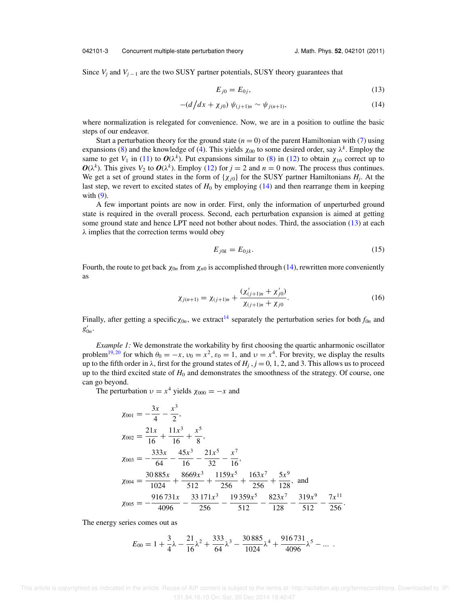Since  $V_j$  and  $V_{j-1}$  are the two SUSY partner potentials, SUSY theory guarantees that

$$
E_{j0} = E_{0j},
$$
\n(13)

$$
-(d/dx + \chi_{j0}) \psi_{(j+1)n} \sim \psi_{j(n+1)}, \tag{14}
$$

where normalization is relegated for convenience. Now, we are in a position to outline the basic steps of our endeavor.

Start a perturbation theory for the ground state  $(n = 0)$  of the parent Hamiltonian with (7) using expansions (8) and the knowledge of (4). This yields  $\chi_{00}$  to some desired order, say  $\lambda^k$ . Employ the same to get  $V_1$  in (11) to  $O(\lambda^k)$ . Put expansions similar to (8) in (12) to obtain  $\chi_{10}$  correct up to  $O(\lambda^k)$ . This gives  $V_2$  to  $O(\lambda^k)$ . Employ (12) for  $j = 2$  and  $n = 0$  now. The process thus continues. We get a set of ground states in the form of  $\{\chi_{j0}\}$  for the SUSY partner Hamiltonians  $H_j$ . At the last step, we revert to excited states of  $H_0$  by employing  $(14)$  and then rearrange them in keeping with  $(9)$ .

A few important points are now in order. First, only the information of unperturbed ground state is required in the overall process. Second, each perturbation expansion is aimed at getting some ground state and hence LPT need not bother about nodes. Third, the association (13) at each  $\lambda$  implies that the correction terms would obey

$$
E_{j0k} = E_{0jk}.\tag{15}
$$

Fourth, the route to get back  $\chi_{0n}$  from  $\chi_{n0}$  is accomplished through (14), rewritten more conveniently as

$$
\chi_{j(n+1)} = \chi_{(j+1)n} + \frac{(\chi'_{(j+1)n} + \chi'_{j0})}{\chi_{(j+1)n} + \chi_{j0}}.
$$
\n(16)

Finally, after getting a specific  $\chi_{0n}$ , we extract<sup>14</sup> separately the perturbation series for both  $f_{0n}$  and  $g'_{0n}$ .

*Example 1:* We demonstrate the workability by first choosing the quartic anharmonic oscillator problem<sup>19,20</sup> for which  $\theta_0 = -x$ ,  $v_0 = x^2$ ,  $\varepsilon_0 = 1$ , and  $v = x^4$ . For brevity, we display the results up to the fifth order in  $\lambda$ , first for the ground states of  $H_j$ ,  $j = 0, 1, 2$ , and 3. This allows us to proceed up to the third excited state of *H*<sup>0</sup> and demonstrates the smoothness of the strategy. Of course, one can go beyond.

The perturbation  $v = x^4$  yields  $\chi_{000} = -x$  and

$$
\chi_{001} = -\frac{3x}{4} - \frac{x^3}{2},
$$
  
\n
$$
\chi_{002} = \frac{21x}{16} + \frac{11x^3}{16} + \frac{x^5}{8},
$$
  
\n
$$
\chi_{003} = -\frac{333x}{64} - \frac{45x^3}{16} - \frac{21x^5}{32} - \frac{x^7}{16},
$$
  
\n
$$
\chi_{004} = \frac{30885x}{1024} + \frac{8669x^3}{512} + \frac{1159x^5}{256} + \frac{163x^7}{256} + \frac{5x^9}{128},
$$
 and  
\n
$$
\chi_{005} = -\frac{916731x}{4096} - \frac{33171x^3}{256} - \frac{19359x^5}{512} - \frac{823x^7}{128} - \frac{319x^9}{512} - \frac{7x^{11}}{256}.
$$

The energy series comes out as

$$
E_{00} = 1 + \frac{3}{4}\lambda - \frac{21}{16}\lambda^2 + \frac{333}{64}\lambda^3 - \frac{30\,885}{1024}\lambda^4 + \frac{916\,731}{4096}\lambda^5 - \dots
$$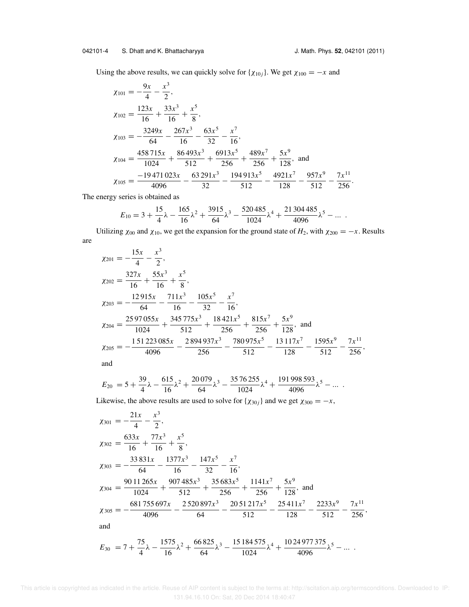Using the above results, we can quickly solve for { $\chi_{10j}$ }. We get  $\chi_{100} = -x$  and

$$
\chi_{101} = -\frac{9x}{4} - \frac{x^3}{2},
$$
\n
$$
\chi_{102} = \frac{123x}{16} + \frac{33x^3}{16} + \frac{x^5}{8},
$$
\n
$$
\chi_{103} = -\frac{3249x}{64} - \frac{267x^3}{16} - \frac{63x^5}{32} - \frac{x^7}{16},
$$
\n
$$
\chi_{104} = \frac{458715x}{1024} + \frac{86493x^3}{512} + \frac{6913x^5}{256} + \frac{489x^7}{256} + \frac{5x^9}{128},
$$
 and\n
$$
\chi_{105} = \frac{-19471023x}{4096} - \frac{63291x^3}{32} - \frac{194913x^5}{512} - \frac{4921x^7}{128} - \frac{957x^9}{512} - \frac{7x^{11}}{256}.
$$

The energy series is obtained as

$$
E_{10} = 3 + \frac{15}{4}\lambda - \frac{165}{16}\lambda^2 + \frac{3915}{64}\lambda^3 - \frac{520485}{1024}\lambda^4 + \frac{21304485}{4096}\lambda^5 - \dots
$$

Utilizing  $\chi_{00}$  and  $\chi_{10}$ , we get the expansion for the ground state of *H*<sub>2</sub>, with  $\chi_{200} = -x$ . Results are

$$
\chi_{201} = -\frac{15x}{4} - \frac{x^3}{2},
$$
\n
$$
\chi_{202} = \frac{327x}{16} + \frac{55x^3}{16} + \frac{x^5}{8},
$$
\n
$$
\chi_{203} = -\frac{12915x}{64} - \frac{711x^3}{16} - \frac{105x^5}{32} - \frac{x^7}{16},
$$
\n
$$
\chi_{204} = \frac{2597055x}{1024} + \frac{345775x^3}{512} + \frac{18421x^5}{256} + \frac{815x^7}{256} + \frac{5x^9}{128},
$$
 and\n
$$
\chi_{205} = -\frac{151223085x}{4096} - \frac{2894937x^3}{256} - \frac{780975x^5}{512} - \frac{13117x^7}{128} - \frac{1595x^9}{512} - \frac{7x^{11}}{256},
$$

and

$$
E_{20} = 5 + \frac{39}{4}\lambda - \frac{615}{16}\lambda^2 + \frac{20079}{64}\lambda^3 - \frac{3576255}{1024}\lambda^4 + \frac{191998593}{4096}\lambda^5 - \dots
$$

Likewise, the above results are used to solve for { $\chi_{30j}$ } and we get  $\chi_{300} = -x$ ,

$$
\chi_{301} = -\frac{21x}{4} - \frac{x^3}{2},
$$
\n
$$
\chi_{302} = \frac{633x}{16} + \frac{77x^3}{16} + \frac{x^5}{8},
$$
\n
$$
\chi_{303} = -\frac{33831x}{64} - \frac{1377x^3}{16} - \frac{147x^5}{32} - \frac{x^7}{16},
$$
\n
$$
\chi_{304} = \frac{9011265x}{1024} + \frac{907485x^3}{512} + \frac{35683x^5}{256} + \frac{1141x^7}{256} + \frac{5x^9}{128},
$$
 and\n
$$
\chi_{305} = -\frac{681755697x}{4096} - \frac{2520897x^3}{64} - \frac{2051217x^5}{512} - \frac{25411x^7}{128} - \frac{2233x^9}{512} - \frac{7x^{11}}{256},
$$
\nand\n
$$
E_{30} = 7 + \frac{75}{4}\lambda - \frac{1575}{16}\lambda^2 + \frac{66825}{64}\lambda^3 - \frac{15184575}{1024}\lambda^4 + \frac{1024977375}{4096}\lambda^5 - \dots
$$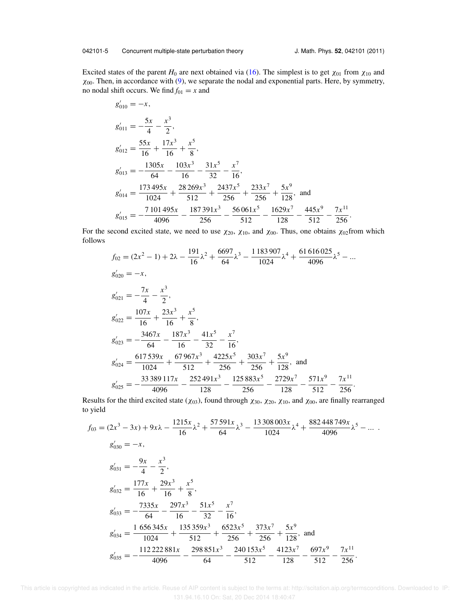Excited states of the parent *H*<sub>0</sub> are next obtained via (16). The simplest is to get  $\chi_{01}$  from  $\chi_{10}$  and  $\chi_{00}$ . Then, in accordance with (9), we separate the nodal and exponential parts. Here, by symmetry, no nodal shift occurs. We find  $f_{01} = x$  and

$$
g'_{010} = -x,
$$
  
\n
$$
g'_{011} = -\frac{5x}{4} - \frac{x^3}{2},
$$
  
\n
$$
g'_{012} = \frac{55x}{16} + \frac{17x^3}{16} + \frac{x^5}{8},
$$
  
\n
$$
g'_{013} = -\frac{1305x}{64} - \frac{103x^3}{16} - \frac{31x^5}{32} - \frac{x^7}{16},
$$
  
\n
$$
g'_{014} = \frac{173495x}{1024} + \frac{28269x^3}{512} + \frac{2437x^5}{256} + \frac{233x^7}{256} + \frac{5x^9}{128},
$$
 and  
\n
$$
g'_{015} = -\frac{7101495x}{4096} - \frac{187391x^3}{256} - \frac{56061x^5}{512} - \frac{1629x^7}{128} - \frac{445x^9}{512} - \frac{7x^{11}}{256}.
$$

For the second excited state, we need to use  $\chi_{20}$ ,  $\chi_{10}$ , and  $\chi_{00}$ . Thus, one obtains  $\chi_{02}$ from which follows

$$
f_{02} = (2x^2 - 1) + 2\lambda - \frac{191}{16}\lambda^2 + \frac{6697}{64}\lambda^3 - \frac{1183907}{1024}\lambda^4 + \frac{61616025}{4096}\lambda^5 - \dots
$$
  
\n
$$
g'_{020} = -x,
$$
  
\n
$$
g'_{021} = -\frac{7x}{4} - \frac{x^3}{2},
$$
  
\n
$$
g'_{022} = \frac{107x}{16} + \frac{23x^3}{16} + \frac{x^5}{8},
$$
  
\n
$$
g'_{023} = -\frac{3467x}{64} - \frac{187x^3}{16} - \frac{41x^5}{32} - \frac{x^7}{16},
$$
  
\n
$$
g'_{024} = \frac{617539x}{1024} + \frac{67967x^3}{512} + \frac{4225x^5}{256} + \frac{303x^7}{256} + \frac{5x^9}{128},
$$
 and  
\n
$$
g'_{025} = -\frac{33389117x}{4096} - \frac{252491x^3}{128} - \frac{125883x^5}{256} - \frac{2729x^7}{128} - \frac{571x^9}{512} - \frac{7x^{11}}{256}.
$$

Results for the third excited state ( $\chi_{03}$ ), found through  $\chi_{30}$ ,  $\chi_{20}$ ,  $\chi_{10}$ , and  $\chi_{00}$ , are finally rearranged to yield

$$
f_{03} = (2x^3 - 3x) + 9x\lambda - \frac{1215x}{16}\lambda^2 + \frac{57591x}{64}\lambda^3 - \frac{13308003x}{1024}\lambda^4 + \frac{882448749x}{4096}\lambda^5 - \dots
$$
  
\n
$$
g'_{030} = -x,
$$
  
\n
$$
g'_{031} = -\frac{9x}{4} - \frac{x^3}{2},
$$
  
\n
$$
g'_{032} = \frac{177x}{16} + \frac{29x^3}{16} + \frac{x^5}{8},
$$
  
\n
$$
g'_{033} = -\frac{7335x}{64} - \frac{297x^3}{16} - \frac{51x^5}{32} - \frac{x^7}{16},
$$
  
\n
$$
g'_{034} = \frac{1656345x}{1024} + \frac{135359x^3}{512} + \frac{6523x^5}{256} + \frac{373x^7}{256} + \frac{5x^9}{128},
$$
 and  
\n
$$
g'_{035} = -\frac{112222881x}{4096} - \frac{298851x^3}{64} - \frac{240153x^5}{512} - \frac{4123x^7}{128} - \frac{697x^9}{512} - \frac{7x^{11}}{256}.
$$

 This article is copyrighted as indicated in the article. Reuse of AIP content is subject to the terms at: http://scitation.aip.org/termsconditions. Downloaded to IP: 131.94.16.10 On: Sat, 20 Dec 2014 18:40:47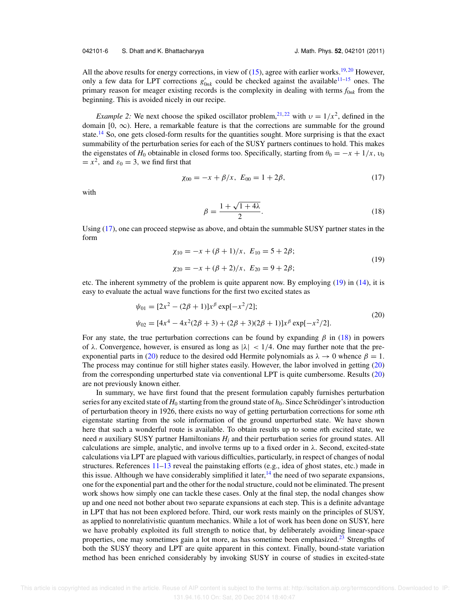All the above results for energy corrections, in view of  $(15)$ , agree with earlier works.<sup>19, 20</sup> However, only a few data for LPT corrections  $g'_{0nk}$  could be checked against the available<sup>11–15</sup> ones. The primary reason for meager existing records is the complexity in dealing with terms *f*0*nk* from the beginning. This is avoided nicely in our recipe.

*Example 2:* We next choose the spiked oscillator problem,<sup>21,22</sup> with  $v = 1/x^2$ , defined in the domain  $[0, \infty)$ . Here, a remarkable feature is that the corrections are summable for the ground state.<sup>14</sup> So, one gets closed-form results for the quantities sought. More surprising is that the exact summability of the perturbation series for each of the SUSY partners continues to hold. This makes the eigenstates of  $H_0$  obtainable in closed forms too. Specifically, starting from  $\theta_0 = -x + 1/x$ ,  $v_0$  $=x^2$ , and  $\varepsilon_0 = 3$ , we find first that

$$
\chi_{00} = -x + \beta/x, \ E_{00} = 1 + 2\beta,
$$
 (17)

with

$$
\beta = \frac{1 + \sqrt{1 + 4\lambda}}{2}.\tag{18}
$$

Using (17), one can proceed stepwise as above, and obtain the summable SUSY partner states in the form

$$
\begin{aligned} \chi_{10} &= -x + (\beta + 1)/x, \ E_{10} = 5 + 2\beta; \\ \chi_{20} &= -x + (\beta + 2)/x, \ E_{20} = 9 + 2\beta; \end{aligned} \tag{19}
$$

etc. The inherent symmetry of the problem is quite apparent now. By employing (19) in (14), it is easy to evaluate the actual wave functions for the first two excited states as

$$
\psi_{01} = [2x^2 - (2\beta + 1)]x^{\beta} \exp[-x^2/2];
$$
  
\n
$$
\psi_{02} = [4x^4 - 4x^2(2\beta + 3) + (2\beta + 3)(2\beta + 1)]x^{\beta} \exp[-x^2/2].
$$
\n(20)

For any state, the true perturbation corrections can be found by expanding  $\beta$  in (18) in powers of  $\lambda$ . Convergence, however, is ensured as long as  $|\lambda| < 1/4$ . One may further note that the preexponential parts in (20) reduce to the desired odd Hermite polynomials as  $\lambda \to 0$  whence  $\beta = 1$ . The process may continue for still higher states easily. However, the labor involved in getting (20) from the corresponding unperturbed state via conventional LPT is quite cumbersome. Results (20) are not previously known either.

In summary, we have first found that the present formulation capably furnishes perturbation series for any excited state of  $H_0$  starting from the ground state of  $h_0$ . Since Schrödinger's introduction of perturbation theory in 1926, there exists no way of getting perturbation corrections for some *n*th eigenstate starting from the sole information of the ground unperturbed state. We have shown here that such a wonderful route is available. To obtain results up to some *n*th excited state, we need *n* auxiliary SUSY partner Hamiltonians *H<sup>j</sup>* and their perturbation series for ground states. All calculations are simple, analytic, and involve terms up to a fixed order in  $\lambda$ . Second, excited-state calculations via LPT are plagued with various difficulties, particularly, in respect of changes of nodal structures. References 11–13 reveal the painstaking efforts (e.g., idea of ghost states, etc.) made in this issue. Although we have considerably simplified it later,  $^{14}$  the need of two separate expansions, one for the exponential part and the other for the nodal structure, could not be eliminated. The present work shows how simply one can tackle these cases. Only at the final step, the nodal changes show up and one need not bother about two separate expansions at each step. This is a definite advantage in LPT that has not been explored before. Third, our work rests mainly on the principles of SUSY, as applied to nonrelativistic quantum mechanics. While a lot of work has been done on SUSY, here we have probably exploited its full strength to notice that, by deliberately avoiding linear-space properties, one may sometimes gain a lot more, as has sometime been emphasized.<sup>23</sup> Strengths of both the SUSY theory and LPT are quite apparent in this context. Finally, bound-state variation method has been enriched considerably by invoking SUSY in course of studies in excited-state